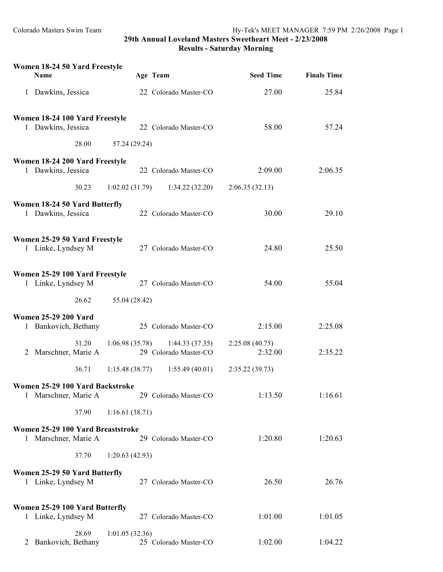| Women 18-24 50 Yard Freestyle<br>Name                     |                | Age Team                                | <b>Seed Time</b>          | <b>Finals Time</b> |
|-----------------------------------------------------------|----------------|-----------------------------------------|---------------------------|--------------------|
| 1 Dawkins, Jessica                                        |                | 22 Colorado Master-CO                   | 27.00                     | 25.84              |
| Women 18-24 100 Yard Freestyle<br>1 Dawkins, Jessica      |                | 22 Colorado Master-CO                   | 58.00                     | 57.24              |
| 28.00                                                     | 57.24 (29.24)  |                                         |                           |                    |
| Women 18-24 200 Yard Freestyle<br>1 Dawkins, Jessica      |                | 22 Colorado Master-CO                   | 2:09.00                   | 2:06.35            |
| 30.23                                                     | 1:02.02(31.79) | 1:34.22(32.20)                          | 2:06.35(32.13)            |                    |
| Women 18-24 50 Yard Butterfly<br>1 Dawkins, Jessica       |                | 22 Colorado Master-CO                   | 30.00                     | 29.10              |
| Women 25-29 50 Yard Freestyle<br>1 Linke, Lyndsey M       |                | 27 Colorado Master-CO                   | 24.80                     | 25.50              |
| Women 25-29 100 Yard Freestyle<br>1 Linke, Lyndsey M      |                | 27 Colorado Master-CO                   | 54.00                     | 55.04              |
| 26.62                                                     | 55.04 (28.42)  |                                         |                           |                    |
| <b>Women 25-29 200 Yard</b><br>1 Bankovich, Bethany       |                | 25 Colorado Master-CO                   | 2:15.00                   | 2:25.08            |
| 31.20<br>2 Marschner, Marie A                             | 1:06.98(35.78) | 1:44.33(37.35)<br>29 Colorado Master-CO | 2:25.08(40.75)<br>2:32.00 | 2:35.22            |
| 36.71                                                     | 1:15.48(38.77) | 1:55.49(40.01)                          | 2:35.22(39.73)            |                    |
| Women 25-29 100 Yard Backstroke<br>1 Marschner, Marie A   |                | 29 Colorado Master-CO                   | 1:13.50                   | 1:16.61            |
| 37.90                                                     | 1:16.61(38.71) |                                         |                           |                    |
| Women 25-29 100 Yard Breaststroke<br>1 Marschner, Marie A |                | 29 Colorado Master-CO                   | 1:20.80                   | 1:20.63            |
| 37.70                                                     | 1:20.63(42.93) |                                         |                           |                    |
| Women 25-29 50 Yard Butterfly<br>1 Linke, Lyndsey M       |                | 27 Colorado Master-CO                   | 26.50                     | 26.76              |
| Women 25-29 100 Yard Butterfly<br>1 Linke, Lyndsey M      |                | 27 Colorado Master-CO                   | 1:01.00                   | 1:01.05            |
| 28.69<br>2 Bankovich, Bethany                             | 1:01.05(32.36) | 25 Colorado Master-CO                   | 1:02.00                   | 1:04.22            |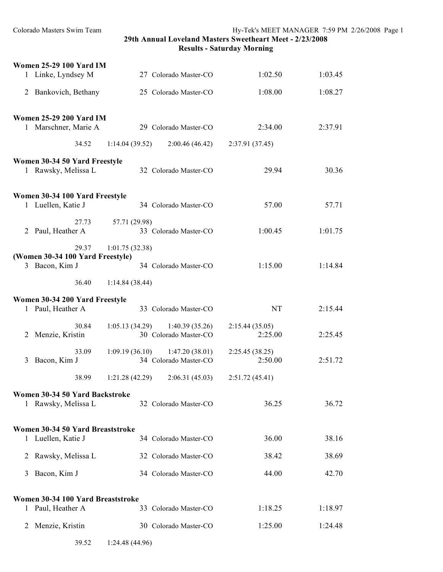| <b>Women 25-29 100 Yard IM</b>                         |       |                |                                                            |                 |                      |
|--------------------------------------------------------|-------|----------------|------------------------------------------------------------|-----------------|----------------------|
| 1 Linke, Lyndsey M                                     |       |                | 27 Colorado Master-CO                                      |                 | 1:02.50<br>1:03.45   |
| 2 Bankovich, Bethany                                   |       |                | 25 Colorado Master-CO                                      |                 | 1:08.00<br>1:08.27   |
| <b>Women 25-29 200 Yard IM</b>                         |       |                |                                                            |                 |                      |
| 1 Marschner, Marie A                                   |       |                | 29 Colorado Master-CO                                      |                 | 2:34.00<br>2:37.91   |
|                                                        | 34.52 | 1:14.04(39.52) | 2:00.46(46.42)                                             | 2:37.91 (37.45) |                      |
| Women 30-34 50 Yard Freestyle<br>1 Rawsky, Melissa L   |       |                | 32 Colorado Master-CO                                      |                 | 29.94<br>30.36       |
| Women 30-34 100 Yard Freestyle<br>1 Luellen, Katie J   |       |                | 34 Colorado Master-CO                                      |                 | 57.00<br>57.71       |
|                                                        |       |                |                                                            |                 |                      |
| 2 Paul, Heather A                                      | 27.73 | 57.71 (29.98)  | 33 Colorado Master-CO                                      |                 | 1:00.45<br>1:01.75   |
| (Women 30-34 100 Yard Freestyle)                       | 29.37 | 1:01.75(32.38) |                                                            |                 |                      |
| 3 Bacon, Kim J                                         |       |                | 34 Colorado Master-CO                                      |                 | 1:15.00<br>1:14.84   |
|                                                        | 36.40 | 1:14.84(38.44) |                                                            |                 |                      |
| Women 30-34 200 Yard Freestyle<br>1 Paul, Heather A    |       |                | 33 Colorado Master-CO                                      |                 | <b>NT</b><br>2:15.44 |
| Menzie, Kristin<br>2                                   | 30.84 |                | $1:05.13(34.29)$ $1:40.39(35.26)$<br>30 Colorado Master-CO | 2:15.44(35.05)  | 2:25.00<br>2:25.45   |
| Bacon, Kim J<br>3                                      | 33.09 |                | $1:09.19(36.10)$ $1:47.20(38.01)$<br>34 Colorado Master-CO | 2:25.45 (38.25) | 2:50.00<br>2:51.72   |
|                                                        | 38.99 | 1:21.28(42.29) | 2:06.31(45.03)                                             | 2:51.72(45.41)  |                      |
| Women 30-34 50 Yard Backstroke<br>1 Rawsky, Melissa L  |       |                | 32 Colorado Master-CO                                      |                 | 36.25<br>36.72       |
| Women 30-34 50 Yard Breaststroke                       |       |                |                                                            |                 |                      |
| 1 Luellen, Katie J                                     |       |                | 34 Colorado Master-CO                                      |                 | 36.00<br>38.16       |
| 2 Rawsky, Melissa L                                    |       |                | 32 Colorado Master-CO                                      |                 | 38.69<br>38.42       |
| Bacon, Kim J<br>3                                      |       |                | 34 Colorado Master-CO                                      |                 | 42.70<br>44.00       |
| Women 30-34 100 Yard Breaststroke<br>1 Paul, Heather A |       |                | 33 Colorado Master-CO                                      |                 | 1:18.25<br>1:18.97   |
| Menzie, Kristin<br>2                                   |       |                | 30 Colorado Master-CO                                      |                 | 1:25.00<br>1:24.48   |
|                                                        | 39.52 | 1:24.48(44.96) |                                                            |                 |                      |
|                                                        |       |                |                                                            |                 |                      |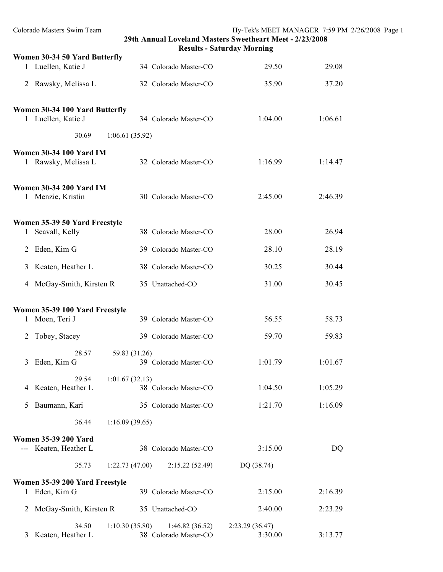| Colorado Masters Swim Team                            | 29th Annual Loveland Masters Sweetheart Meet - 2/23/2008  | <b>Results - Saturday Morning</b> | Hy-Tek's MEET MANAGER 7:59 PM 2/26/2008 Page 1 |  |
|-------------------------------------------------------|-----------------------------------------------------------|-----------------------------------|------------------------------------------------|--|
| Women 30-34 50 Yard Butterfly                         |                                                           |                                   |                                                |  |
| 1 Luellen, Katie J                                    | 34 Colorado Master-CO                                     | 29.50                             | 29.08                                          |  |
| 2 Rawsky, Melissa L                                   | 32 Colorado Master-CO                                     | 35.90                             | 37.20                                          |  |
| Women 30-34 100 Yard Butterfly<br>1 Luellen, Katie J  | 34 Colorado Master-CO                                     | 1:04.00                           | 1:06.61                                        |  |
| 30.69                                                 | 1:06.61(35.92)                                            |                                   |                                                |  |
|                                                       |                                                           |                                   |                                                |  |
| <b>Women 30-34 100 Yard IM</b><br>1 Rawsky, Melissa L | 32 Colorado Master-CO                                     | 1:16.99                           | 1:14.47                                        |  |
| <b>Women 30-34 200 Yard IM</b><br>1 Menzie, Kristin   | 30 Colorado Master-CO                                     | 2:45.00                           | 2:46.39                                        |  |
| Women 35-39 50 Yard Freestyle                         |                                                           |                                   |                                                |  |
| 1 Seavall, Kelly                                      | 38 Colorado Master-CO                                     | 28.00                             | 26.94                                          |  |
| 2 Eden, Kim G                                         | 39 Colorado Master-CO                                     | 28.10                             | 28.19                                          |  |
| Keaten, Heather L<br>3                                | 38 Colorado Master-CO                                     | 30.25                             | 30.44                                          |  |
| 4 McGay-Smith, Kirsten R                              | 35 Unattached-CO                                          | 31.00                             | 30.45                                          |  |
|                                                       |                                                           |                                   |                                                |  |
| Women 35-39 100 Yard Freestyle                        |                                                           |                                   |                                                |  |
| 1 Moen, Teri J                                        | 39 Colorado Master-CO                                     | 56.55                             | 58.73                                          |  |
| 2 Tobey, Stacey                                       | 39 Colorado Master-CO                                     | 59.70                             | 59.83                                          |  |
| 28.57                                                 | 59.83 (31.26)                                             |                                   |                                                |  |
| Eden, Kim G<br>3                                      | 39 Colorado Master-CO                                     | 1:01.79                           | 1:01.67                                        |  |
| 29.54                                                 | 1:01.67(32.13)                                            |                                   |                                                |  |
| 4 Keaten, Heather L                                   | 38 Colorado Master-CO                                     | 1:04.50                           | 1:05.29                                        |  |
| Baumann, Kari<br>$\mathcal{L}$                        | 35 Colorado Master-CO                                     | 1:21.70                           | 1:16.09                                        |  |
| 36.44                                                 | 1:16.09(39.65)                                            |                                   |                                                |  |
| <b>Women 35-39 200 Yard</b>                           |                                                           |                                   |                                                |  |
| --- Keaten, Heather L                                 | 38 Colorado Master-CO                                     | 3:15.00                           | DQ                                             |  |
| 35.73                                                 | 1:22.73(47.00)<br>2:15.22(52.49)                          | DQ (38.74)                        |                                                |  |
| Women 35-39 200 Yard Freestyle                        |                                                           |                                   |                                                |  |
| 1 Eden, Kim G                                         | 39 Colorado Master-CO                                     | 2:15.00                           | 2:16.39                                        |  |
| 2 McGay-Smith, Kirsten R                              | 35 Unattached-CO                                          | 2:40.00                           | 2:23.29                                        |  |
| 34.50<br>3 Keaten, Heather L                          | 1:10.30(35.80)<br>1:46.82(36.52)<br>38 Colorado Master-CO | 2:23.29(36.47)<br>3:30.00         | 3:13.77                                        |  |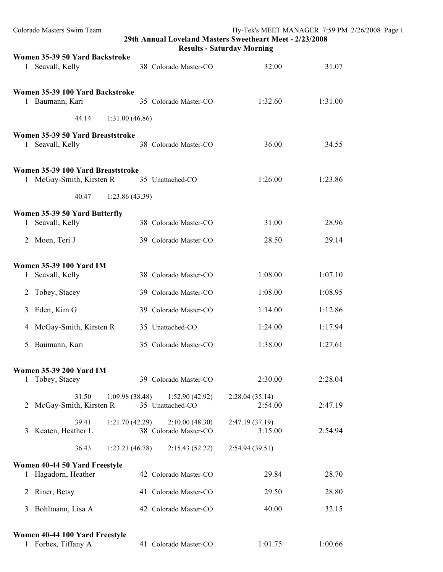| Colorado Masters Swim Team                                    | Hy-Tek's MEET MANAGER 7:59 PM 2/26/2008 Page 1<br>29th Annual Loveland Masters Sweetheart Meet - 2/23/2008<br><b>Results - Saturday Morning</b> |                           |         |  |
|---------------------------------------------------------------|-------------------------------------------------------------------------------------------------------------------------------------------------|---------------------------|---------|--|
| Women 35-39 50 Yard Backstroke<br>1 Seavall, Kelly            | 38 Colorado Master-CO                                                                                                                           | 32.00                     | 31.07   |  |
|                                                               |                                                                                                                                                 |                           |         |  |
| Women 35-39 100 Yard Backstroke<br>1 Baumann, Kari            | 35 Colorado Master-CO                                                                                                                           | 1:32.60                   | 1:31.00 |  |
| 44.14<br>1:31.00(46.86)                                       |                                                                                                                                                 |                           |         |  |
| Women 35-39 50 Yard Breaststroke<br>1 Seavall, Kelly          | 38 Colorado Master-CO                                                                                                                           | 36.00                     | 34.55   |  |
| Women 35-39 100 Yard Breaststroke<br>1 McGay-Smith, Kirsten R | 35 Unattached-CO                                                                                                                                | 1:26.00                   | 1:23.86 |  |
| 40.47<br>1:23.86(43.39)                                       |                                                                                                                                                 |                           |         |  |
| Women 35-39 50 Yard Butterfly<br>1 Seavall, Kelly             | 38 Colorado Master-CO                                                                                                                           | 31.00                     | 28.96   |  |
| 2 Moen, Teri J                                                | 39 Colorado Master-CO                                                                                                                           | 28.50                     | 29.14   |  |
| <b>Women 35-39 100 Yard IM</b><br>1 Seavall, Kelly            | 38 Colorado Master-CO                                                                                                                           | 1:08.00                   | 1:07.10 |  |
| Tobey, Stacey<br>2                                            | 39 Colorado Master-CO                                                                                                                           | 1:08.00                   | 1:08.95 |  |
| Eden, Kim G<br>3                                              | 39 Colorado Master-CO                                                                                                                           | 1:14.00                   | 1:12.86 |  |
| 4 McGay-Smith, Kirsten R                                      | 35 Unattached-CO                                                                                                                                | 1:24.00                   | 1:17.94 |  |
| 5 Baumann, Kari                                               | 35 Colorado Master-CO                                                                                                                           | 1:38.00                   | 1:27.61 |  |
| Women 35-39 200 Yard IM                                       |                                                                                                                                                 |                           |         |  |
| 1 Tobey, Stacey                                               | 39 Colorado Master-CO                                                                                                                           | 2:30.00                   | 2:28.04 |  |
| 31.50<br>1:09.98(38.48)<br>2 McGay-Smith, Kirsten R           | 1:52.90(42.92)<br>35 Unattached-CO                                                                                                              | 2:28.04(35.14)<br>2:54.00 | 2:47.19 |  |
| 39.41<br>1:21.70(42.29)<br>3 Keaten, Heather L                | 2:10.00(48.30)<br>38 Colorado Master-CO                                                                                                         | 2:47.19(37.19)<br>3:15.00 | 2:54.94 |  |
| 36.43<br>1:23.21(46.78)                                       | 2:15.43(52.22)                                                                                                                                  | 2:54.94(39.51)            |         |  |
| Women 40-44 50 Yard Freestyle<br>1 Hagadorn, Heather          | 42 Colorado Master-CO                                                                                                                           | 29.84                     | 28.70   |  |
| 2 Riner, Betsy                                                | 41 Colorado Master-CO                                                                                                                           | 29.50                     | 28.80   |  |
| Bohlmann, Lisa A<br>3                                         | 42 Colorado Master-CO                                                                                                                           | 40.00                     | 32.15   |  |
| Women 40-44 100 Yard Freestyle<br>1 Forbes, Tiffany A         | 41 Colorado Master-CO                                                                                                                           | 1:01.75                   | 1:00.66 |  |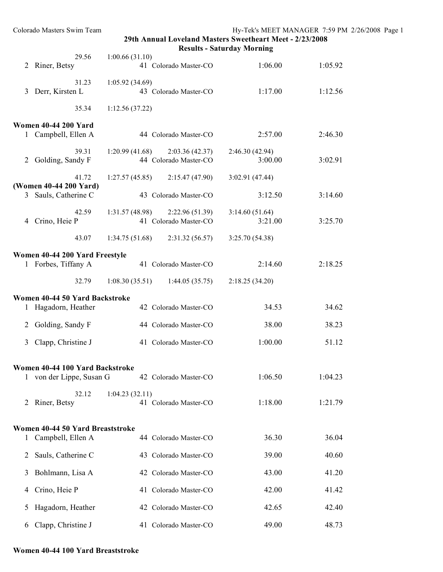**Results - Saturday Morning**

|              | 29.56                                          | 1:00.66(31.10)                                             |                           |         |
|--------------|------------------------------------------------|------------------------------------------------------------|---------------------------|---------|
| 2            | Riner, Betsy                                   | 41 Colorado Master-CO                                      | 1:06.00                   | 1:05.92 |
| 3            | 31.23<br>Derr, Kirsten L                       | 1:05.92(34.69)<br>43 Colorado Master-CO                    | 1:17.00                   | 1:12.56 |
|              | 35.34                                          | 1:12.56(37.22)                                             |                           |         |
|              | <b>Women 40-44 200 Yard</b>                    |                                                            |                           |         |
|              | 1 Campbell, Ellen A                            | 44 Colorado Master-CO                                      | 2:57.00                   | 2:46.30 |
|              | 39.31<br>2 Golding, Sandy F                    | $1:20.99(41.68)$ $2:03.36(42.37)$<br>44 Colorado Master-CO | 2:46.30(42.94)<br>3:00.00 | 3:02.91 |
|              | 41.72                                          | 1:27.57(45.85)<br>2:15.47 (47.90)                          | 3:02.91 (47.44)           |         |
|              | (Women 40-44 200 Yard)<br>3 Sauls, Catherine C | 43 Colorado Master-CO                                      | 3:12.50                   | 3:14.60 |
|              | 42.59<br>4 Crino, Heie P                       | $1:31.57(48.98)$ $2:22.96(51.39)$<br>41 Colorado Master-CO | 3:14.60(51.64)<br>3:21.00 | 3:25.70 |
|              | 43.07                                          | $1:34.75(51.68)$ $2:31.32(56.57)$                          | 3:25.70 (54.38)           |         |
|              | Women 40-44 200 Yard Freestyle                 |                                                            |                           |         |
|              | 1 Forbes, Tiffany A                            | 41 Colorado Master-CO                                      | 2:14.60                   | 2:18.25 |
|              | 32.79                                          | $1:08.30(35.51)$ $1:44.05(35.75)$                          | 2:18.25(34.20)            |         |
|              | Women 40-44 50 Yard Backstroke                 |                                                            |                           |         |
| $\mathbf{I}$ | Hagadorn, Heather                              | 42 Colorado Master-CO                                      | 34.53                     | 34.62   |
|              | 2 Golding, Sandy F                             | 44 Colorado Master-CO                                      | 38.00                     | 38.23   |
| 3            | Clapp, Christine J                             | 41 Colorado Master-CO                                      | 1:00.00                   | 51.12   |
|              | Women 40-44 100 Yard Backstroke                |                                                            |                           |         |
| $\mathbf{I}$ | von der Lippe, Susan G                         | 42 Colorado Master-CO                                      | 1:06.50                   | 1:04.23 |
|              | 32.12                                          | 1:04.23(32.11)                                             |                           |         |
| 2            | Riner, Betsy                                   | 41 Colorado Master-CO                                      | 1:18.00                   | 1:21.79 |
|              | Women 40-44 50 Yard Breaststroke               |                                                            |                           |         |
| 1            | Campbell, Ellen A                              | 44 Colorado Master-CO                                      | 36.30                     | 36.04   |
| 2            | Sauls, Catherine C                             | 43 Colorado Master-CO                                      | 39.00                     | 40.60   |
| 3            | Bohlmann, Lisa A                               | 42 Colorado Master-CO                                      | 43.00                     | 41.20   |
| 4            | Crino, Heie P                                  | 41 Colorado Master-CO                                      | 42.00                     | 41.42   |
| 5            | Hagadorn, Heather                              | 42 Colorado Master-CO                                      | 42.65                     | 42.40   |
| 6            | Clapp, Christine J                             | 41 Colorado Master-CO                                      | 49.00                     | 48.73   |

#### **Women 40-44 100 Yard Breaststroke**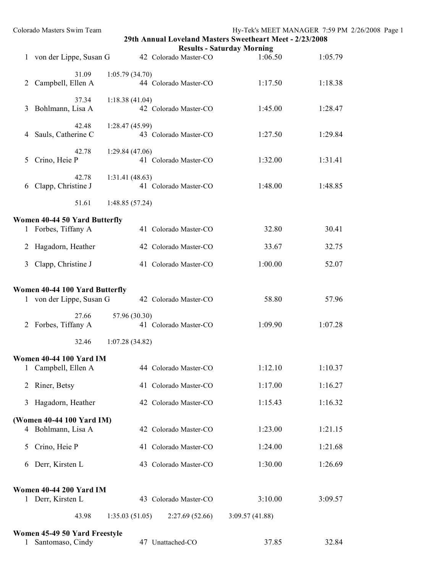| 31.09                       | 1:05.79(34.70)<br>44 Colorado Master-CO                                                                                                                                                                                                                                       | 1:17.50                                                                                                                                                                                                                                                                                                       | 1:18.38                                                                                                                                                                                                                                                                                       |                                                                                                                                                                              |
|-----------------------------|-------------------------------------------------------------------------------------------------------------------------------------------------------------------------------------------------------------------------------------------------------------------------------|---------------------------------------------------------------------------------------------------------------------------------------------------------------------------------------------------------------------------------------------------------------------------------------------------------------|-----------------------------------------------------------------------------------------------------------------------------------------------------------------------------------------------------------------------------------------------------------------------------------------------|------------------------------------------------------------------------------------------------------------------------------------------------------------------------------|
| 37.34                       | 1:18.38(41.04)<br>42 Colorado Master-CO                                                                                                                                                                                                                                       | 1:45.00                                                                                                                                                                                                                                                                                                       | 1:28.47                                                                                                                                                                                                                                                                                       |                                                                                                                                                                              |
| 42.48<br>Sauls, Catherine C | 1:28.47(45.99)<br>43 Colorado Master-CO                                                                                                                                                                                                                                       | 1:27.50                                                                                                                                                                                                                                                                                                       | 1:29.84                                                                                                                                                                                                                                                                                       |                                                                                                                                                                              |
| 42.78<br>Crino, Heie P      | 1:29.84(47.06)<br>41 Colorado Master-CO                                                                                                                                                                                                                                       | 1:32.00                                                                                                                                                                                                                                                                                                       | 1:31.41                                                                                                                                                                                                                                                                                       |                                                                                                                                                                              |
| 42.78                       | 1:31.41(48.63)<br>41 Colorado Master-CO                                                                                                                                                                                                                                       | 1:48.00                                                                                                                                                                                                                                                                                                       | 1:48.85                                                                                                                                                                                                                                                                                       |                                                                                                                                                                              |
| 51.61                       | 1:48.85(57.24)                                                                                                                                                                                                                                                                |                                                                                                                                                                                                                                                                                                               |                                                                                                                                                                                                                                                                                               |                                                                                                                                                                              |
|                             |                                                                                                                                                                                                                                                                               |                                                                                                                                                                                                                                                                                                               |                                                                                                                                                                                                                                                                                               |                                                                                                                                                                              |
|                             | 41 Colorado Master-CO                                                                                                                                                                                                                                                         | 32.80                                                                                                                                                                                                                                                                                                         | 30.41                                                                                                                                                                                                                                                                                         |                                                                                                                                                                              |
|                             | 42 Colorado Master-CO                                                                                                                                                                                                                                                         | 33.67                                                                                                                                                                                                                                                                                                         | 32.75                                                                                                                                                                                                                                                                                         |                                                                                                                                                                              |
|                             | 41 Colorado Master-CO                                                                                                                                                                                                                                                         | 1:00.00                                                                                                                                                                                                                                                                                                       | 52.07                                                                                                                                                                                                                                                                                         |                                                                                                                                                                              |
|                             |                                                                                                                                                                                                                                                                               |                                                                                                                                                                                                                                                                                                               |                                                                                                                                                                                                                                                                                               |                                                                                                                                                                              |
|                             | 42 Colorado Master-CO                                                                                                                                                                                                                                                         | 58.80                                                                                                                                                                                                                                                                                                         | 57.96                                                                                                                                                                                                                                                                                         |                                                                                                                                                                              |
| 27.66                       | 57.96 (30.30)                                                                                                                                                                                                                                                                 |                                                                                                                                                                                                                                                                                                               |                                                                                                                                                                                                                                                                                               |                                                                                                                                                                              |
|                             |                                                                                                                                                                                                                                                                               |                                                                                                                                                                                                                                                                                                               |                                                                                                                                                                                                                                                                                               |                                                                                                                                                                              |
|                             |                                                                                                                                                                                                                                                                               |                                                                                                                                                                                                                                                                                                               |                                                                                                                                                                                                                                                                                               |                                                                                                                                                                              |
|                             |                                                                                                                                                                                                                                                                               |                                                                                                                                                                                                                                                                                                               |                                                                                                                                                                                                                                                                                               |                                                                                                                                                                              |
|                             |                                                                                                                                                                                                                                                                               |                                                                                                                                                                                                                                                                                                               |                                                                                                                                                                                                                                                                                               |                                                                                                                                                                              |
|                             |                                                                                                                                                                                                                                                                               |                                                                                                                                                                                                                                                                                                               |                                                                                                                                                                                                                                                                                               |                                                                                                                                                                              |
|                             |                                                                                                                                                                                                                                                                               |                                                                                                                                                                                                                                                                                                               |                                                                                                                                                                                                                                                                                               |                                                                                                                                                                              |
|                             | 42 Colorado Master-CO                                                                                                                                                                                                                                                         | 1:23.00                                                                                                                                                                                                                                                                                                       | 1:21.15                                                                                                                                                                                                                                                                                       |                                                                                                                                                                              |
| Crino, Heie P               | 41 Colorado Master-CO                                                                                                                                                                                                                                                         | 1:24.00                                                                                                                                                                                                                                                                                                       | 1:21.68                                                                                                                                                                                                                                                                                       |                                                                                                                                                                              |
| Derr, Kirsten L             | 43 Colorado Master-CO                                                                                                                                                                                                                                                         | 1:30.00                                                                                                                                                                                                                                                                                                       | 1:26.69                                                                                                                                                                                                                                                                                       |                                                                                                                                                                              |
|                             |                                                                                                                                                                                                                                                                               |                                                                                                                                                                                                                                                                                                               |                                                                                                                                                                                                                                                                                               |                                                                                                                                                                              |
|                             |                                                                                                                                                                                                                                                                               |                                                                                                                                                                                                                                                                                                               |                                                                                                                                                                                                                                                                                               |                                                                                                                                                                              |
|                             |                                                                                                                                                                                                                                                                               |                                                                                                                                                                                                                                                                                                               |                                                                                                                                                                                                                                                                                               |                                                                                                                                                                              |
| Santomaso, Cindy            | 47 Unattached-CO                                                                                                                                                                                                                                                              | 37.85                                                                                                                                                                                                                                                                                                         | 32.84                                                                                                                                                                                                                                                                                         |                                                                                                                                                                              |
|                             | Campbell, Ellen A<br>Bohlmann, Lisa A<br>Clapp, Christine J<br>1 Forbes, Tiffany A<br>Hagadorn, Heather<br>Clapp, Christine J<br>2 Forbes, Tiffany A<br>32.46<br>1 Campbell, Ellen A<br>Riner, Betsy<br>Hagadorn, Heather<br>4 Bohlmann, Lisa A<br>1 Derr, Kirsten L<br>43.98 | Colorado Masters Swim Team<br>1 von der Lippe, Susan G<br>Women 40-44 50 Yard Butterfly<br>Women 40-44 100 Yard Butterfly<br>1 von der Lippe, Susan G<br>1:07.28(34.82)<br>Women 40-44 100 Yard IM<br>(Women 40-44 100 Yard IM)<br>Women 40-44 200 Yard IM<br>1:35.03(51.05)<br>Women 45-49 50 Yard Freestyle | <b>Results - Saturday Morning</b><br>42 Colorado Master-CO<br>1:06.50<br>41 Colorado Master-CO<br>1:09.90<br>1:12.10<br>44 Colorado Master-CO<br>1:17.00<br>41 Colorado Master-CO<br>1:15.43<br>42 Colorado Master-CO<br>3:10.00<br>43 Colorado Master-CO<br>2:27.69(52.66)<br>3:09.57(41.88) | Hy-Tek's MEET MANAGER 7:59 PM 2/26/2008 Page 1<br>29th Annual Loveland Masters Sweetheart Meet - 2/23/2008<br>1:05.79<br>1:07.28<br>1:10.37<br>1:16.27<br>1:16.32<br>3:09.57 |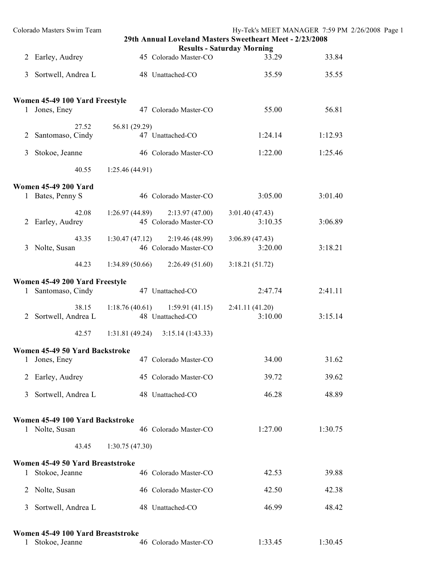| Colorado Masters Swim Team                                         | 29th Annual Loveland Masters Sweetheart Meet - 2/23/2008   | <b>Results - Saturday Morning</b> | Hy-Tek's MEET MANAGER 7:59 PM 2/26/2008 Page 1 |  |
|--------------------------------------------------------------------|------------------------------------------------------------|-----------------------------------|------------------------------------------------|--|
| 2 Earley, Audrey                                                   | 45 Colorado Master-CO                                      | 33.29                             | 33.84                                          |  |
| Sortwell, Andrea L<br>3                                            | 48 Unattached-CO                                           | 35.59                             | 35.55                                          |  |
| Women 45-49 100 Yard Freestyle                                     |                                                            |                                   |                                                |  |
| 1 Jones, Eney                                                      | 47 Colorado Master-CO                                      | 55.00                             | 56.81                                          |  |
| 27.52<br>Santomaso, Cindy<br>2                                     | 56.81 (29.29)<br>47 Unattached-CO                          | 1:24.14                           | 1:12.93                                        |  |
| Stokoe, Jeanne<br>3                                                | 46 Colorado Master-CO                                      | 1:22.00                           | 1:25.46                                        |  |
| 40.55                                                              | 1:25.46(44.91)                                             |                                   |                                                |  |
| <b>Women 45-49 200 Yard</b><br>1 Bates, Penny S                    | 46 Colorado Master-CO                                      | 3:05.00                           | 3:01.40                                        |  |
| 42.08<br>2 Earley, Audrey                                          | 2:13.97(47.00)<br>1:26.97 (44.89)<br>45 Colorado Master-CO | 3:01.40(47.43)<br>3:10.35         | 3:06.89                                        |  |
| 43.35<br>3 Nolte, Susan                                            | 2:19.46(48.99)<br>1:30.47(47.12)<br>46 Colorado Master-CO  | 3:06.89(47.43)<br>3:20.00         | 3:18.21                                        |  |
| 44.23                                                              | 1:34.89(50.66)<br>2:26.49(51.60)                           | 3:18.21(51.72)                    |                                                |  |
| Women 45-49 200 Yard Freestyle                                     |                                                            |                                   |                                                |  |
| 1 Santomaso, Cindy                                                 | 47 Unattached-CO                                           | 2:47.74                           | 2:41.11                                        |  |
| 38.15<br>Sortwell, Andrea L<br>2                                   | $1:18.76(40.61)$ $1:59.91(41.15)$<br>48 Unattached-CO      | 2:41.11(41.20)<br>3:10.00         | 3:15.14                                        |  |
| 42.57                                                              | 3:15.14(1:43.33)<br>1:31.81(49.24)                         |                                   |                                                |  |
| Women 45-49 50 Yard Backstroke<br>Jones, Eney                      | 47 Colorado Master-CO                                      | 34.00                             | 31.62                                          |  |
| Earley, Audrey<br>2                                                | 45 Colorado Master-CO                                      | 39.72                             | 39.62                                          |  |
| Sortwell, Andrea L<br>3                                            | 48 Unattached-CO                                           | 46.28                             | 48.89                                          |  |
| Women 45-49 100 Yard Backstroke<br>1 Nolte, Susan                  | 46 Colorado Master-CO                                      | 1:27.00                           | 1:30.75                                        |  |
| 43.45                                                              | 1:30.75(47.30)                                             |                                   |                                                |  |
| Women 45-49 50 Yard Breaststroke<br>Stokoe, Jeanne<br>$\mathbf{I}$ | 46 Colorado Master-CO                                      | 42.53                             | 39.88                                          |  |
| 2 Nolte, Susan                                                     | 46 Colorado Master-CO                                      | 42.50                             | 42.38                                          |  |
| Sortwell, Andrea L<br>3                                            | 48 Unattached-CO                                           | 46.99                             | 48.42                                          |  |
| Women 45-49 100 Yard Breaststroke<br>Stokoe, Jeanne<br>1           | 46 Colorado Master-CO                                      | 1:33.45                           | 1:30.45                                        |  |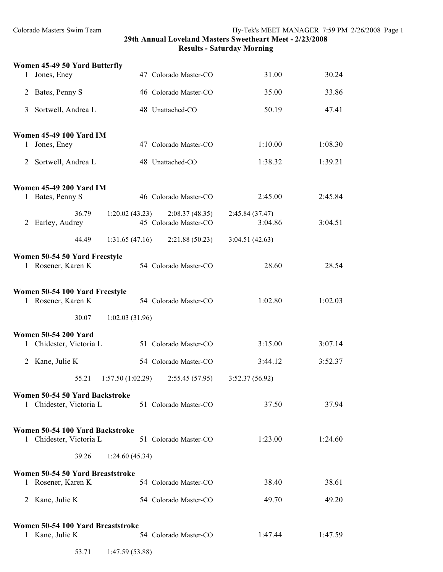| Women 45-49 50 Yard Butterfly                          |                                                           |                            |         |
|--------------------------------------------------------|-----------------------------------------------------------|----------------------------|---------|
| 1 Jones, Eney                                          | 47 Colorado Master-CO                                     | 31.00                      | 30.24   |
| Bates, Penny S<br>2                                    | 46 Colorado Master-CO                                     | 35.00                      | 33.86   |
| 3<br>Sortwell, Andrea L                                | 48 Unattached-CO                                          | 50.19                      | 47.41   |
| <b>Women 45-49 100 Yard IM</b>                         |                                                           |                            |         |
| 1 Jones, Eney                                          | 47 Colorado Master-CO                                     | 1:10.00                    | 1:08.30 |
| 2 Sortwell, Andrea L                                   | 48 Unattached-CO                                          | 1:38.32                    | 1:39.21 |
| <b>Women 45-49 200 Yard IM</b><br>1 Bates, Penny S     | 46 Colorado Master-CO                                     | 2:45.00                    | 2:45.84 |
|                                                        |                                                           |                            |         |
| 36.79<br>2 Earley, Audrey                              | 1:20.02(43.23)<br>2:08.37(48.35)<br>45 Colorado Master-CO | 2:45.84 (37.47)<br>3:04.86 | 3:04.51 |
| 44.49                                                  | 1:31.65(47.16)<br>2:21.88(50.23)                          | 3:04.51(42.63)             |         |
| Women 50-54 50 Yard Freestyle                          |                                                           |                            |         |
| 1 Rosener, Karen K                                     | 54 Colorado Master-CO                                     | 28.60                      | 28.54   |
| Women 50-54 100 Yard Freestyle                         |                                                           |                            |         |
| 1 Rosener, Karen K                                     | 54 Colorado Master-CO                                     | 1:02.80                    | 1:02.03 |
| 30.07                                                  | 1:02.03(31.96)                                            |                            |         |
| <b>Women 50-54 200 Yard</b><br>1 Chidester, Victoria L | 51 Colorado Master-CO                                     | 3:15.00                    | 3:07.14 |
| 2 Kane, Julie K                                        | 54 Colorado Master-CO                                     | 3:44.12                    | 3:52.37 |
| 55.21<br>1:57.50(1:02.29)                              | 2:55.45(57.95)                                            | 3:52.37(56.92)             |         |
| Women 50-54 50 Yard Backstroke                         |                                                           |                            |         |
| 1 Chidester, Victoria L                                | 51 Colorado Master-CO                                     | 37.50                      | 37.94   |
| Women 50-54 100 Yard Backstroke                        |                                                           |                            |         |
| 1 Chidester, Victoria L                                | 51 Colorado Master-CO                                     | 1:23.00                    | 1:24.60 |
| 39.26                                                  | 1:24.60(45.34)                                            |                            |         |
| Women 50-54 50 Yard Breaststroke<br>1 Rosener, Karen K | 54 Colorado Master-CO                                     | 38.40                      | 38.61   |
| 2 Kane, Julie K                                        | 54 Colorado Master-CO                                     | 49.70                      | 49.20   |
| Women 50-54 100 Yard Breaststroke                      |                                                           |                            |         |
| 1 Kane, Julie K                                        | 54 Colorado Master-CO                                     | 1:47.44                    | 1:47.59 |
| 53.71                                                  | 1:47.59(53.88)                                            |                            |         |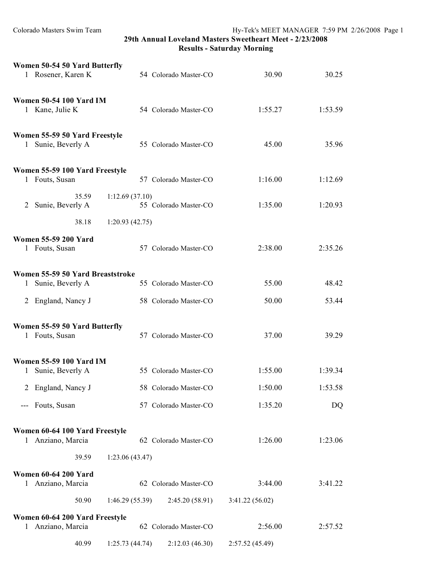| Women 50-54 50 Yard Butterfly<br>1 Rosener, Karen K    |                | 54 Colorado Master-CO | 30.90           | 30.25   |
|--------------------------------------------------------|----------------|-----------------------|-----------------|---------|
| <b>Women 50-54 100 Yard IM</b><br>1 Kane, Julie K      |                | 54 Colorado Master-CO | 1:55.27         | 1:53.59 |
| Women 55-59 50 Yard Freestyle<br>1 Sunie, Beverly A    |                | 55 Colorado Master-CO | 45.00           | 35.96   |
| Women 55-59 100 Yard Freestyle<br>1 Fouts, Susan       |                | 57 Colorado Master-CO | 1:16.00         | 1:12.69 |
| 35.59<br>2 Sunie, Beverly A                            | 1:12.69(37.10) | 55 Colorado Master-CO | 1:35.00         | 1:20.93 |
| 38.18                                                  | 1:20.93(42.75) |                       |                 |         |
| <b>Women 55-59 200 Yard</b><br>1 Fouts, Susan          |                | 57 Colorado Master-CO | 2:38.00         | 2:35.26 |
| Women 55-59 50 Yard Breaststroke<br>1 Sunie, Beverly A |                | 55 Colorado Master-CO | 55.00           | 48.42   |
| 2 England, Nancy J                                     |                | 58 Colorado Master-CO | 50.00           | 53.44   |
| Women 55-59 50 Yard Butterfly<br>1 Fouts, Susan        |                | 57 Colorado Master-CO | 37.00           | 39.29   |
| <b>Women 55-59 100 Yard IM</b><br>1 Sunie, Beverly A   |                | 55 Colorado Master-CO | 1:55.00         | 1:39.34 |
| 2 England, Nancy J                                     |                | 58 Colorado Master-CO | 1:50.00         | 1:53.58 |
| Fouts, Susan<br>$\qquad \qquad - -$                    |                | 57 Colorado Master-CO | 1:35.20         | DQ      |
| Women 60-64 100 Yard Freestyle<br>1 Anziano, Marcia    |                | 62 Colorado Master-CO | 1:26.00         | 1:23.06 |
| 39.59                                                  | 1:23.06(43.47) |                       |                 |         |
| <b>Women 60-64 200 Yard</b><br>Anziano, Marcia<br>1    |                | 62 Colorado Master-CO | 3:44.00         | 3:41.22 |
| 50.90                                                  | 1:46.29(55.39) | 2:45.20(58.91)        | 3:41.22(56.02)  |         |
| Women 60-64 200 Yard Freestyle<br>Anziano, Marcia<br>1 |                | 62 Colorado Master-CO | 2:56.00         | 2:57.52 |
| 40.99                                                  | 1:25.73(44.74) | 2:12.03(46.30)        | 2:57.52 (45.49) |         |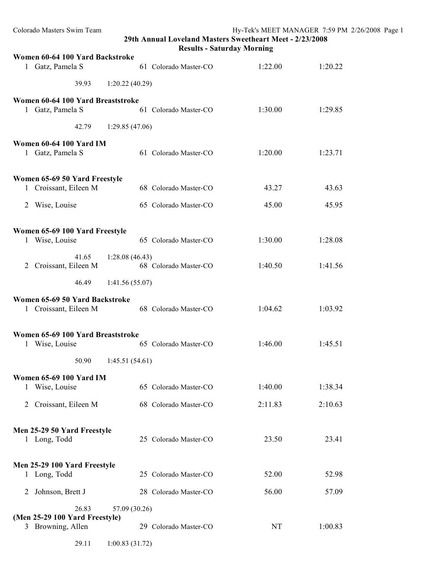**Results - Saturday Morning**

| Women 60-64 100 Yard Backstroke                         |                       |         |         |
|---------------------------------------------------------|-----------------------|---------|---------|
| 1 Gatz, Pamela S                                        | 61 Colorado Master-CO | 1:22.00 | 1:20.22 |
| 39.93                                                   | 1:20.22(40.29)        |         |         |
| Women 60-64 100 Yard Breaststroke                       |                       |         |         |
| 1 Gatz, Pamela S                                        | 61 Colorado Master-CO | 1:30.00 | 1:29.85 |
|                                                         | 42.79 1:29.85 (47.06) |         |         |
| Women 60-64 100 Yard IM                                 |                       |         |         |
| 1 Gatz, Pamela S                                        | 61 Colorado Master-CO | 1:20.00 | 1:23.71 |
| Women 65-69 50 Yard Freestyle                           |                       |         |         |
| 1 Croissant, Eileen M                                   | 68 Colorado Master-CO | 43.27   | 43.63   |
| 2 Wise, Louise                                          | 65 Colorado Master-CO | 45.00   | 45.95   |
|                                                         |                       |         |         |
| Women 65-69 100 Yard Freestyle<br>1 Wise, Louise        | 65 Colorado Master-CO | 1:30.00 | 1:28.08 |
|                                                         | 41.65 1:28.08 (46.43) |         |         |
| 2 Croissant, Eileen M                                   | 68 Colorado Master-CO | 1:40.50 | 1:41.56 |
| 46.49                                                   | 1:41.56(55.07)        |         |         |
|                                                         |                       |         |         |
| Women 65-69 50 Yard Backstroke<br>1 Croissant, Eileen M | 68 Colorado Master-CO | 1:04.62 | 1:03.92 |
| Women 65-69 100 Yard Breaststroke                       |                       |         |         |
| 1 Wise, Louise                                          | 65 Colorado Master-CO | 1:46.00 | 1:45.51 |
| 50.90                                                   | 1:45.51(54.61)        |         |         |
| <b>Women 65-69 100 Yard IM</b>                          |                       |         |         |
| Wise, Louise<br>1                                       | 65 Colorado Master-CO | 1:40.00 | 1:38.34 |
| 2 Croissant, Eileen M                                   | 68 Colorado Master-CO | 2:11.83 | 2:10.63 |
|                                                         |                       |         |         |
| Men 25-29 50 Yard Freestyle<br>1 Long, Todd             | 25 Colorado Master-CO | 23.50   | 23.41   |
|                                                         |                       |         |         |
|                                                         |                       |         |         |
| Men 25-29 100 Yard Freestyle<br>1 Long, Todd            | 25 Colorado Master-CO | 52.00   | 52.98   |
| Johnson, Brett J<br>2                                   | 28 Colorado Master-CO | 56.00   | 57.09   |
| 26.83                                                   | 57.09 (30.26)         |         |         |
| (Men 25-29 100 Yard Freestyle)                          |                       |         |         |
| 3 Browning, Allen                                       | 29 Colorado Master-CO | NT      | 1:00.83 |
| 29.11                                                   | 1:00.83(31.72)        |         |         |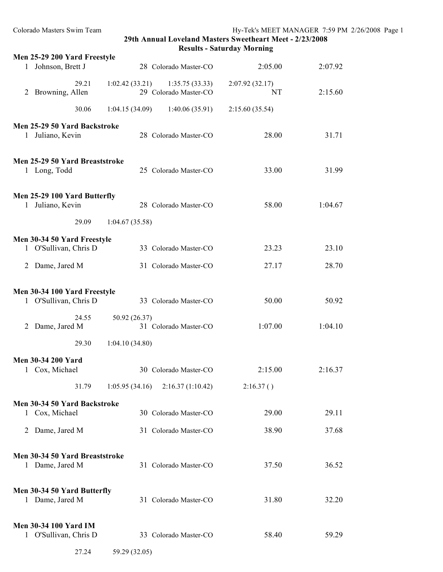| Men 25-29 200 Yard Freestyle                          |                                                            | 2:05.00              | 2:07.92 |
|-------------------------------------------------------|------------------------------------------------------------|----------------------|---------|
| 1 Johnson, Brett J                                    | 28 Colorado Master-CO                                      |                      |         |
| 29.21<br>2 Browning, Allen                            | $1:02.42(33.21)$ $1:35.75(33.33)$<br>29 Colorado Master-CO | 2:07.92(32.17)<br>NT | 2:15.60 |
| 30.06                                                 | 1:04.15(34.09)<br>1:40.06(35.91)                           | 2:15.60(35.54)       |         |
| Men 25-29 50 Yard Backstroke<br>1 Juliano, Kevin      | 28 Colorado Master-CO                                      | 28.00                | 31.71   |
| Men 25-29 50 Yard Breaststroke<br>1 Long, Todd        | 25 Colorado Master-CO                                      | 33.00                | 31.99   |
| Men 25-29 100 Yard Butterfly<br>1 Juliano, Kevin      | 28 Colorado Master-CO                                      | 58.00                | 1:04.67 |
| 29.09                                                 | 1:04.67(35.58)                                             |                      |         |
| Men 30-34 50 Yard Freestyle<br>1 O'Sullivan, Chris D  | 33 Colorado Master-CO                                      | 23.23                | 23.10   |
| 2 Dame, Jared M                                       | 31 Colorado Master-CO                                      | 27.17                | 28.70   |
|                                                       |                                                            |                      |         |
| Men 30-34 100 Yard Freestyle<br>1 O'Sullivan, Chris D | 33 Colorado Master-CO                                      | 50.00                | 50.92   |
| 24.55<br>2 Dame, Jared M                              | 50.92 (26.37)<br>31 Colorado Master-CO                     | 1:07.00              | 1:04.10 |
| 29.30                                                 | 1:04.10(34.80)                                             |                      |         |
| <b>Men 30-34 200 Yard</b><br>1 Cox, Michael           | 30 Colorado Master-CO                                      | 2:15.00              | 2:16.37 |
| 31.79                                                 | $1:05.95(34.16)$ $2:16.37(1:10.42)$                        | 2:16.37()            |         |
| Men 30-34 50 Yard Backstroke                          |                                                            |                      |         |
| 1 Cox, Michael                                        | 30 Colorado Master-CO                                      | 29.00                | 29.11   |
| 2 Dame, Jared M                                       | 31 Colorado Master-CO                                      | 38.90                | 37.68   |
| Men 30-34 50 Yard Breaststroke<br>1 Dame, Jared M     | 31 Colorado Master-CO                                      | 37.50                | 36.52   |
|                                                       |                                                            |                      |         |
| Men 30-34 50 Yard Butterfly<br>1 Dame, Jared M        | 31 Colorado Master-CO                                      | 31.80                | 32.20   |
| <b>Men 30-34 100 Yard IM</b><br>1 O'Sullivan, Chris D | 33 Colorado Master-CO                                      | 58.40                | 59.29   |
| 27.24                                                 | 59.29 (32.05)                                              |                      |         |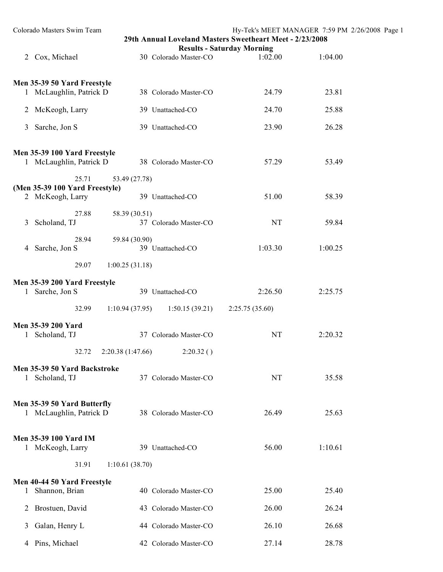|   | Colorado Masters Swim Team                                  | 29th Annual Loveland Masters Sweetheart Meet - 2/23/2008 | Hy-Tek's MEET MANAGER 7:59 PM 2/26/2008 Page 1 |         |  |
|---|-------------------------------------------------------------|----------------------------------------------------------|------------------------------------------------|---------|--|
|   | 2 Cox, Michael                                              | 30 Colorado Master-CO                                    | <b>Results - Saturday Morning</b><br>1:02.00   | 1:04.00 |  |
|   | Men 35-39 50 Yard Freestyle<br>1 McLaughlin, Patrick D      | 38 Colorado Master-CO                                    | 24.79                                          | 23.81   |  |
|   | 2 McKeogh, Larry                                            | 39 Unattached-CO                                         | 24.70                                          | 25.88   |  |
|   | 3 Sarche, Jon S                                             | 39 Unattached-CO                                         | 23.90                                          | 26.28   |  |
|   | Men 35-39 100 Yard Freestyle<br>1 McLaughlin, Patrick D     | 38 Colorado Master-CO                                    | 57.29                                          | 53.49   |  |
|   | 25.71<br>(Men 35-39 100 Yard Freestyle)<br>2 McKeogh, Larry | 53.49 (27.78)<br>39 Unattached-CO                        | 51.00                                          | 58.39   |  |
|   | 27.88<br>3 Scholand, TJ                                     | 58.39 (30.51)<br>37 Colorado Master-CO                   | NT                                             | 59.84   |  |
|   | 28.94<br>4 Sarche, Jon S                                    | 59.84 (30.90)<br>39 Unattached-CO                        | 1:03.30                                        | 1:00.25 |  |
|   | 29.07<br>1:00.25(31.18)                                     |                                                          |                                                |         |  |
|   | Men 35-39 200 Yard Freestyle<br>1 Sarche, Jon S             | 39 Unattached-CO                                         | 2:26.50                                        | 2:25.75 |  |
|   | 32.99                                                       | 1:10.94(37.95)<br>1:50.15(39.21)                         | 2:25.75(35.60)                                 |         |  |
|   | Men 35-39 200 Yard<br>1 Scholand, TJ                        | 37 Colorado Master-CO                                    | <b>NT</b>                                      | 2:20.32 |  |
|   | 32.72                                                       | 2:20.38 (1:47.66)<br>2:20.32()                           |                                                |         |  |
|   | Men 35-39 50 Yard Backstroke<br>1 Scholand, TJ              | 37 Colorado Master-CO                                    | <b>NT</b>                                      | 35.58   |  |
|   | Men 35-39 50 Yard Butterfly<br>1 McLaughlin, Patrick D      | 38 Colorado Master-CO                                    | 26.49                                          | 25.63   |  |
|   | <b>Men 35-39 100 Yard IM</b><br>1 McKeogh, Larry            | 39 Unattached-CO                                         | 56.00                                          | 1:10.61 |  |
|   | 31.91<br>1:10.61(38.70)                                     |                                                          |                                                |         |  |
| 1 | Men 40-44 50 Yard Freestyle<br>Shannon, Brian               | 40 Colorado Master-CO                                    | 25.00                                          | 25.40   |  |
|   | 2 Brostuen, David                                           | 43 Colorado Master-CO                                    | 26.00                                          | 26.24   |  |
| 3 | Galan, Henry L                                              | 44 Colorado Master-CO                                    | 26.10                                          | 26.68   |  |
|   | 4 Pins, Michael                                             | 42 Colorado Master-CO                                    | 27.14                                          | 28.78   |  |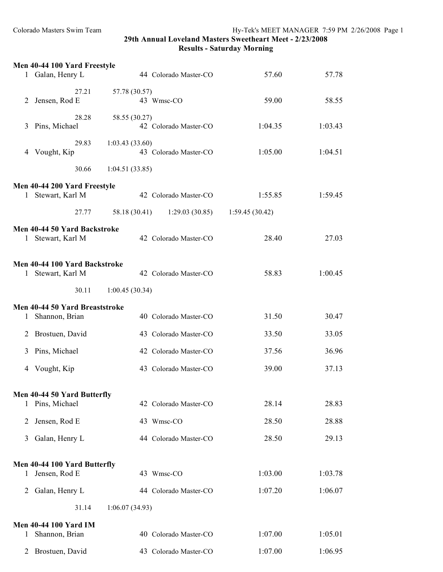|              | Men 40-44 100 Yard Freestyle                  |                                         |                |         |
|--------------|-----------------------------------------------|-----------------------------------------|----------------|---------|
|              | 1 Galan, Henry L                              | 44 Colorado Master-CO                   | 57.60          | 57.78   |
|              | 27.21                                         | 57.78 (30.57)                           |                |         |
| 2            | Jensen, Rod E                                 | 43 Wmsc-CO                              | 59.00          | 58.55   |
|              | 28.28                                         | 58.55 (30.27)                           |                |         |
| 3            | Pins, Michael                                 | 42 Colorado Master-CO                   | 1:04.35        | 1:03.43 |
| 4            | 29.83<br>Vought, Kip                          | 1:03.43(33.60)<br>43 Colorado Master-CO | 1:05.00        | 1:04.51 |
|              |                                               |                                         |                |         |
|              | 30.66                                         | 1:04.51(33.85)                          |                |         |
|              | Men 40-44 200 Yard Freestyle                  |                                         |                |         |
|              | 1 Stewart, Karl M                             | 42 Colorado Master-CO                   | 1:55.85        | 1:59.45 |
|              | 27.77                                         | 58.18 (30.41) 1:29.03 (30.85)           | 1:59.45(30.42) |         |
|              | Men 40-44 50 Yard Backstroke                  |                                         |                |         |
|              | 1 Stewart, Karl M                             | 42 Colorado Master-CO                   | 28.40          | 27.03   |
|              | Men 40-44 100 Yard Backstroke                 |                                         |                |         |
|              | 1 Stewart, Karl M                             | 42 Colorado Master-CO                   | 58.83          | 1:00.45 |
|              | 30.11                                         | 1:00.45(30.34)                          |                |         |
|              | Men 40-44 50 Yard Breaststroke                |                                         |                |         |
|              | 1 Shannon, Brian                              | 40 Colorado Master-CO                   | 31.50          | 30.47   |
| 2            | Brostuen, David                               | 43 Colorado Master-CO                   | 33.50          | 33.05   |
| 3            | Pins, Michael                                 | 42 Colorado Master-CO                   | 37.56          | 36.96   |
| 4            | Vought, Kip                                   | 43 Colorado Master-CO                   | 39.00          | 37.13   |
|              |                                               |                                         |                |         |
|              | Men 40-44 50 Yard Butterfly                   |                                         |                |         |
|              | 1 Pins, Michael                               | 42 Colorado Master-CO                   | 28.14          | 28.83   |
| 2            | Jensen, Rod E                                 | 43 Wmsc-CO                              | 28.50          | 28.88   |
| 3            | Galan, Henry L                                | 44 Colorado Master-CO                   | 28.50          | 29.13   |
|              |                                               |                                         |                |         |
| $\mathbf{1}$ | Men 40-44 100 Yard Butterfly<br>Jensen, Rod E | 43 Wmsc-CO                              | 1:03.00        | 1:03.78 |
|              |                                               |                                         |                |         |
| 2            | Galan, Henry L                                | 44 Colorado Master-CO                   | 1:07.20        | 1:06.07 |
|              | 31.14                                         | 1:06.07(34.93)                          |                |         |
|              | <b>Men 40-44 100 Yard IM</b>                  |                                         |                |         |
| 1            | Shannon, Brian                                | 40 Colorado Master-CO                   | 1:07.00        | 1:05.01 |
| 2            | Brostuen, David                               | 43 Colorado Master-CO                   | 1:07.00        | 1:06.95 |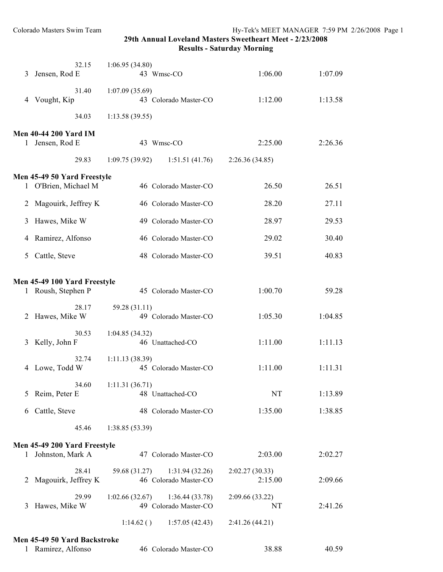**Results - Saturday Morning**

| 3 | 32.15<br>Jensen, Rod E                          | 1:06.95(34.80)<br>43 Wmsc-CO                              | 1:06.00                   | 1:07.09 |
|---|-------------------------------------------------|-----------------------------------------------------------|---------------------------|---------|
| 4 | 31.40<br>Vought, Kip                            | 1:07.09(35.69)<br>43 Colorado Master-CO                   | 1:12.00                   | 1:13.58 |
|   | 34.03                                           | 1:13.58(39.55)                                            |                           |         |
|   | <b>Men 40-44 200 Yard IM</b><br>1 Jensen, Rod E | 43 Wmsc-CO                                                | 2:25.00                   | 2:26.36 |
|   | 29.83                                           | 1:09.75(39.92)<br>1:51.51(41.76)                          | 2:26.36(34.85)            |         |
|   | Men 45-49 50 Yard Freestyle                     |                                                           |                           |         |
|   | 1 O'Brien, Michael M                            | 46 Colorado Master-CO                                     | 26.50                     | 26.51   |
| 2 | Magouirk, Jeffrey K                             | 46 Colorado Master-CO                                     | 28.20                     | 27.11   |
| 3 | Hawes, Mike W                                   | 49 Colorado Master-CO                                     | 28.97                     | 29.53   |
| 4 | Ramirez, Alfonso                                | 46 Colorado Master-CO                                     | 29.02                     | 30.40   |
| 5 | Cattle, Steve                                   | 48 Colorado Master-CO                                     | 39.51                     | 40.83   |
|   | Men 45-49 100 Yard Freestyle                    |                                                           |                           |         |
|   | 1 Roush, Stephen P                              | 45 Colorado Master-CO                                     | 1:00.70                   | 59.28   |
| 2 | 28.17<br>Hawes, Mike W                          | 59.28 (31.11)<br>49 Colorado Master-CO                    | 1:05.30                   | 1:04.85 |
| 3 | 30.53<br>Kelly, John F                          | 1:04.85(34.32)<br>46 Unattached-CO                        | 1:11.00                   | 1:11.13 |
| 4 | 32.74<br>Lowe, Todd W                           | 1:11.13(38.39)<br>45 Colorado Master-CO                   | 1:11.00                   | 1:11.31 |
| 5 | 34.60<br>Reim, Peter E                          | 1:11.31(36.71)<br>48 Unattached-CO                        | NT                        | 1:13.89 |
| 6 | Cattle, Steve                                   | 48 Colorado Master-CO                                     | 1:35.00                   | 1:38.85 |
|   | 45.46                                           | 1:38.85(53.39)                                            |                           |         |
|   | Men 45-49 200 Yard Freestyle                    |                                                           |                           |         |
| 1 | Johnston, Mark A                                | 47 Colorado Master-CO                                     | 2:03.00                   | 2:02.27 |
| 2 | 28.41<br>Magouirk, Jeffrey K                    | 59.68 (31.27)<br>1:31.94(32.26)<br>46 Colorado Master-CO  | 2:02.27(30.33)<br>2:15.00 | 2:09.66 |
| 3 | 29.99<br>Hawes, Mike W                          | 1:02.66(32.67)<br>1:36.44(33.78)<br>49 Colorado Master-CO | 2:09.66 (33.22)<br>NT     | 2:41.26 |
|   |                                                 | 1:14.62()<br>1:57.05(42.43)                               | 2:41.26(44.21)            |         |
|   | Men 45-49 50 Yard Backstroke                    |                                                           |                           |         |
|   | 1 Ramirez, Alfonso                              | 46 Colorado Master-CO                                     | 38.88                     | 40.59   |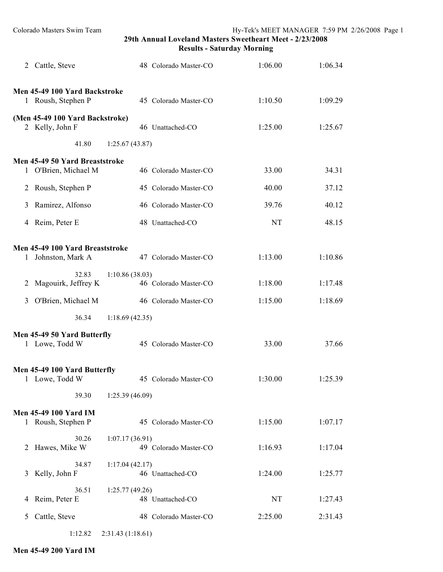|              | 2 Cattle, Steve                                        |                | 48 Colorado Master-CO | 1:06.00 | 1:06.34 |
|--------------|--------------------------------------------------------|----------------|-----------------------|---------|---------|
|              | Men 45-49 100 Yard Backstroke<br>1 Roush, Stephen P    |                | 45 Colorado Master-CO | 1:10.50 | 1:09.29 |
|              | (Men 45-49 100 Yard Backstroke)<br>2 Kelly, John F     |                | 46 Unattached-CO      | 1:25.00 | 1:25.67 |
|              | 41.80                                                  | 1:25.67(43.87) |                       |         |         |
|              | Men 45-49 50 Yard Breaststroke<br>1 O'Brien, Michael M |                | 46 Colorado Master-CO | 33.00   | 34.31   |
| 2            | Roush, Stephen P                                       |                | 45 Colorado Master-CO | 40.00   | 37.12   |
| 3            | Ramirez, Alfonso                                       |                | 46 Colorado Master-CO | 39.76   | 40.12   |
|              | 4 Reim, Peter E                                        |                | 48 Unattached-CO      | NT      | 48.15   |
| $\mathbf{1}$ | Men 45-49 100 Yard Breaststroke<br>Johnston, Mark A    |                | 47 Colorado Master-CO | 1:13.00 | 1:10.86 |
| 2            | 32.83<br>Magouirk, Jeffrey K                           | 1:10.86(38.03) | 46 Colorado Master-CO | 1:18.00 | 1:17.48 |
| 3            | O'Brien, Michael M                                     |                | 46 Colorado Master-CO | 1:15.00 | 1:18.69 |
|              | 36.34                                                  | 1:18.69(42.35) |                       |         |         |
|              | Men 45-49 50 Yard Butterfly<br>1 Lowe, Todd W          |                | 45 Colorado Master-CO | 33.00   | 37.66   |
|              | Men 45-49 100 Yard Butterfly<br>1 Lowe, Todd W         |                | 45 Colorado Master-CO | 1:30.00 | 1:25.39 |
|              | 39.30                                                  | 1:25.39(46.09) |                       |         |         |
|              | <b>Men 45-49 100 Yard IM</b><br>1 Roush, Stephen P     |                | 45 Colorado Master-CO | 1:15.00 | 1:07.17 |
| 2            | 30.26<br>Hawes, Mike W                                 | 1:07.17(36.91) | 49 Colorado Master-CO | 1:16.93 | 1:17.04 |
| 3            | 34.87<br>Kelly, John F                                 | 1:17.04(42.17) | 46 Unattached-CO      | 1:24.00 | 1:25.77 |
| 4            | 36.51<br>Reim, Peter E                                 | 1:25.77(49.26) | 48 Unattached-CO      | NT      | 1:27.43 |
| 5            | Cattle, Steve                                          |                | 48 Colorado Master-CO | 2:25.00 | 2:31.43 |
|              |                                                        |                |                       |         |         |

1:12.82 2:31.43 (1:18.61)

**Men 45-49 200 Yard IM**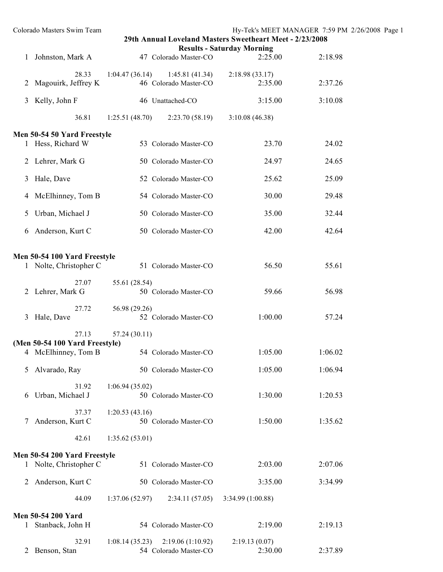|              | Colorado Masters Swim Team                             |                |                                           | 29th Annual Loveland Masters Sweetheart Meet - 2/23/2008 | Hy-Tek's MEET MANAGER 7:59 PM 2/26/2008 Page 1 |
|--------------|--------------------------------------------------------|----------------|-------------------------------------------|----------------------------------------------------------|------------------------------------------------|
|              | Johnston, Mark A                                       |                | 47 Colorado Master-CO                     | <b>Results - Saturday Morning</b><br>2:25.00             | 2:18.98                                        |
| 2            | 28.33<br>Magouirk, Jeffrey K                           | 1:04.47(36.14) | 1:45.81(41.34)<br>46 Colorado Master-CO   | 2:18.98(33.17)<br>2:35.00                                | 2:37.26                                        |
| 3            | Kelly, John F                                          |                | 46 Unattached-CO                          | 3:15.00                                                  | 3:10.08                                        |
|              | 36.81                                                  | 1:25.51(48.70) | 2:23.70(58.19)                            | 3:10.08(46.38)                                           |                                                |
|              | Men 50-54 50 Yard Freestyle                            |                |                                           |                                                          |                                                |
|              | 1 Hess, Richard W                                      |                | 53 Colorado Master-CO                     | 23.70                                                    | 24.02                                          |
| $\mathbf{2}$ | Lehrer, Mark G                                         |                | 50 Colorado Master-CO                     | 24.97                                                    | 24.65                                          |
| 3            | Hale, Dave                                             |                | 52 Colorado Master-CO                     | 25.62                                                    | 25.09                                          |
| 4            | McElhinney, Tom B                                      |                | 54 Colorado Master-CO                     | 30.00                                                    | 29.48                                          |
| 5            | Urban, Michael J                                       |                | 50 Colorado Master-CO                     | 35.00                                                    | 32.44                                          |
| 6            | Anderson, Kurt C                                       |                | 50 Colorado Master-CO                     | 42.00                                                    | 42.64                                          |
|              |                                                        |                |                                           |                                                          |                                                |
|              | Men 50-54 100 Yard Freestyle<br>1 Nolte, Christopher C |                | 51 Colorado Master-CO                     | 56.50                                                    | 55.61                                          |
|              | 27.07<br>2 Lehrer, Mark G                              | 55.61 (28.54)  | 50 Colorado Master-CO                     | 59.66                                                    | 56.98                                          |
| 3            | 27.72<br>Hale, Dave                                    | 56.98 (29.26)  | 52 Colorado Master-CO                     | 1:00.00                                                  | 57.24                                          |
|              | 27.13                                                  | 57.24 (30.11)  |                                           |                                                          |                                                |
| 4            | (Men 50-54 100 Yard Freestyle)<br>McElhinney, Tom B    |                | 54 Colorado Master-CO                     | 1:05.00                                                  | 1:06.02                                        |
| 5            | Alvarado, Ray                                          |                | 50 Colorado Master-CO                     | 1:05.00                                                  | 1:06.94                                        |
| 6            | 31.92<br>Urban, Michael J                              | 1:06.94(35.02) | 50 Colorado Master-CO                     | 1:30.00                                                  | 1:20.53                                        |
|              | 37.37<br>Anderson, Kurt C                              | 1:20.53(43.16) | 50 Colorado Master-CO                     | 1:50.00                                                  | 1:35.62                                        |
|              | 42.61                                                  | 1:35.62(53.01) |                                           |                                                          |                                                |
|              | Men 50-54 200 Yard Freestyle                           |                |                                           |                                                          |                                                |
|              | 1 Nolte, Christopher C                                 |                | 51 Colorado Master-CO                     | 2:03.00                                                  | 2:07.06                                        |
| 2            | Anderson, Kurt C                                       |                | 50 Colorado Master-CO                     | 3:35.00                                                  | 3:34.99                                        |
|              | 44.09                                                  | 1:37.06(52.97) | 2:34.11(57.05)                            | 3:34.99 (1:00.88)                                        |                                                |
|              | Men 50-54 200 Yard<br>Stanback, John H                 |                | 54 Colorado Master-CO                     | 2:19.00                                                  | 2:19.13                                        |
| 2            | 32.91<br>Benson, Stan                                  | 1:08.14(35.23) | 2:19.06(1:10.92)<br>54 Colorado Master-CO | 2:19.13(0.07)<br>2:30.00                                 | 2:37.89                                        |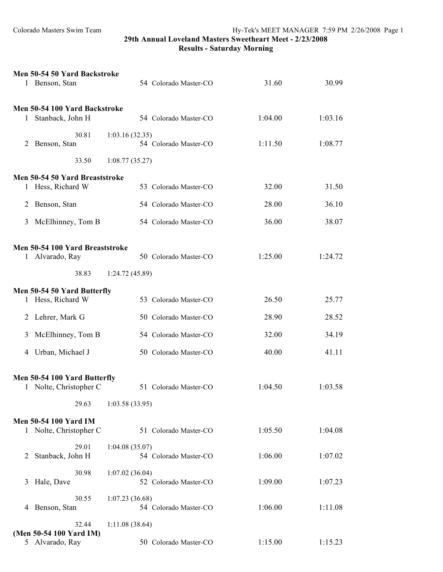|                | Men 50-54 50 Yard Backstroke<br>1 Benson, Stan         | 54 Colorado Master-CO                   | 31.60   | 30.99   |
|----------------|--------------------------------------------------------|-----------------------------------------|---------|---------|
| 1              | Men 50-54 100 Yard Backstroke<br>Stanback, John H      | 54 Colorado Master-CO                   | 1:04.00 | 1:03.16 |
| 2              | 30.81<br>Benson, Stan                                  | 1:03.16(32.35)<br>54 Colorado Master-CO | 1:11.50 | 1:08.77 |
|                | 33.50                                                  | 1:08.77(35.27)                          |         |         |
|                | Men 50-54 50 Yard Breaststroke<br>1 Hess, Richard W    | 53 Colorado Master-CO                   | 32.00   | 31.50   |
| 2              | Benson, Stan                                           | 54 Colorado Master-CO                   | 28.00   | 36.10   |
| 3              | McElhinney, Tom B                                      | 54 Colorado Master-CO                   | 36.00   | 38.07   |
|                | Men 50-54 100 Yard Breaststroke<br>1 Alvarado, Ray     | 50 Colorado Master-CO                   | 1:25.00 | 1:24.72 |
|                | 38.83                                                  | 1:24.72(45.89)                          |         |         |
|                | Men 50-54 50 Yard Butterfly<br>1 Hess, Richard W       | 53 Colorado Master-CO                   | 26.50   | 25.77   |
| 2              | Lehrer, Mark G                                         | 50 Colorado Master-CO                   | 28.90   | 28.52   |
| 3              | McElhinney, Tom B                                      | 54 Colorado Master-CO                   | 32.00   | 34.19   |
|                | 4 Urban, Michael J                                     | 50 Colorado Master-CO                   | 40.00   | 41.11   |
|                | Men 50-54 100 Yard Butterfly<br>1 Nolte, Christopher C | 51 Colorado Master-CO                   | 1:04.50 | 1:03.58 |
|                | 29.63                                                  | 1:03.58(33.95)                          |         |         |
|                | <b>Men 50-54 100 Yard IM</b><br>1 Nolte, Christopher C | 51 Colorado Master-CO                   | 1:05.50 | 1:04.08 |
| $\overline{2}$ | 29.01<br>Stanback, John H                              | 1:04.08(35.07)<br>54 Colorado Master-CO | 1:06.00 | 1:07.02 |
| 3              | 30.98<br>Hale, Dave                                    | 1:07.02(36.04)<br>52 Colorado Master-CO | 1:09.00 | 1:07.23 |
| 4              | 30.55<br>Benson, Stan                                  | 1:07.23(36.68)<br>54 Colorado Master-CO | 1:06.00 | 1:11.08 |
|                | 32.44                                                  | 1:11.08(38.64)                          |         |         |
|                | (Men 50-54 100 Yard IM)<br>5 Alvarado, Ray             | 50 Colorado Master-CO                   | 1:15.00 | 1:15.23 |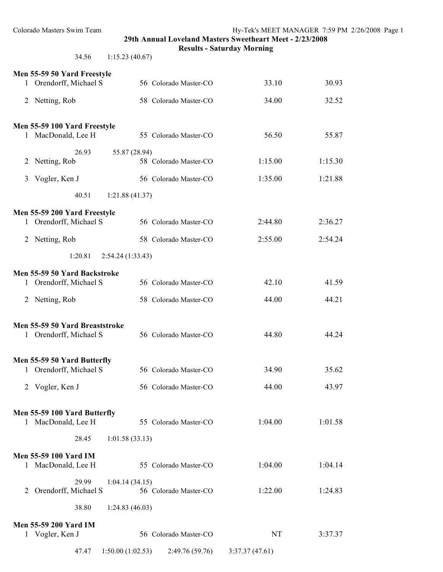**Results - Saturday Morning**

34.56 1:15.23 (40.67)

|                | Men 55-59 50 Yard Freestyle                           |                       |                |         |
|----------------|-------------------------------------------------------|-----------------------|----------------|---------|
|                | 1 Orendorff, Michael S                                | 56 Colorado Master-CO | 33.10          | 30.93   |
|                | 2 Netting, Rob                                        | 58 Colorado Master-CO | 34.00          | 32.52   |
|                |                                                       |                       |                |         |
|                | Men 55-59 100 Yard Freestyle<br>1 MacDonald, Lee H    | 55 Colorado Master-CO | 56.50          | 55.87   |
|                | 26.93<br>55.87 (28.94)<br>2 Netting, Rob              | 58 Colorado Master-CO | 1:15.00        | 1:15.30 |
| 3              | Vogler, Ken J                                         | 56 Colorado Master-CO | 1:35.00        | 1:21.88 |
|                | 40.51<br>1:21.88(41.37)                               |                       |                |         |
|                | Men 55-59 200 Yard Freestyle                          |                       |                |         |
|                | 1 Orendorff, Michael S                                | 56 Colorado Master-CO | 2:44.80        | 2:36.27 |
|                | 2 Netting, Rob                                        | 58 Colorado Master-CO | 2:55.00        | 2:54.24 |
|                | 1:20.81<br>2:54.24 (1:33.43)                          |                       |                |         |
|                | Men 55-59 50 Yard Backstroke                          |                       |                |         |
|                | 1 Orendorff, Michael S                                | 56 Colorado Master-CO | 42.10          | 41.59   |
| 2              | Netting, Rob                                          | 58 Colorado Master-CO | 44.00          | 44.21   |
|                | Men 55-59 50 Yard Breaststroke                        |                       |                |         |
|                | 1 Orendorff, Michael S                                | 56 Colorado Master-CO | 44.80          | 44.24   |
|                |                                                       |                       |                |         |
|                | Men 55-59 50 Yard Butterfly<br>1 Orendorff, Michael S | 56 Colorado Master-CO | 34.90          | 35.62   |
| $\overline{2}$ | Vogler, Ken J                                         | 56 Colorado Master-CO | 44.00          | 43.97   |
|                |                                                       |                       |                |         |
|                | Men 55-59 100 Yard Butterfly<br>1 MacDonald, Lee H    | 55 Colorado Master-CO | 1:04.00        | 1:01.58 |
|                | 28.45<br>1:01.58(33.13)                               |                       |                |         |
|                | <b>Men 55-59 100 Yard IM</b>                          |                       |                |         |
|                | 1 MacDonald, Lee H                                    | 55 Colorado Master-CO | 1:04.00        | 1:04.14 |
| 2              | 29.99<br>1:04.14(34.15)<br>Orendorff, Michael S       | 56 Colorado Master-CO | 1:22.00        | 1:24.83 |
|                | 38.80<br>1:24.83(46.03)                               |                       |                |         |
|                | <b>Men 55-59 200 Yard IM</b>                          |                       |                |         |
|                | 1 Vogler, Ken J                                       | 56 Colorado Master-CO | NT             | 3:37.37 |
|                | 47.47<br>1:50.00(1:02.53)                             | 2:49.76 (59.76)       | 3:37.37(47.61) |         |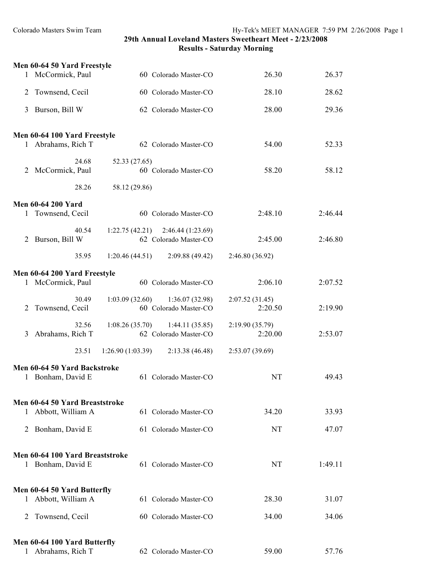|              | Men 60-64 50 Yard Freestyle                           |                                                              |                           |         |
|--------------|-------------------------------------------------------|--------------------------------------------------------------|---------------------------|---------|
|              | 1 McCormick, Paul                                     | 60 Colorado Master-CO                                        | 26.30                     | 26.37   |
| 2            | Townsend, Cecil                                       | 60 Colorado Master-CO                                        | 28.10                     | 28.62   |
| 3            | Burson, Bill W                                        | 62 Colorado Master-CO                                        | 28.00                     | 29.36   |
|              | Men 60-64 100 Yard Freestyle                          |                                                              |                           |         |
|              | 1 Abrahams, Rich T                                    | 62 Colorado Master-CO                                        | 54.00                     | 52.33   |
| 2            | 24.68<br>McCormick, Paul                              | 52.33 (27.65)<br>60 Colorado Master-CO                       | 58.20                     | 58.12   |
|              | 28.26                                                 | 58.12 (29.86)                                                |                           |         |
|              | <b>Men 60-64 200 Yard</b>                             |                                                              |                           |         |
|              | 1 Townsend, Cecil                                     | 60 Colorado Master-CO                                        | 2:48.10                   | 2:46.44 |
| 2            | 40.54<br>Burson, Bill W                               | $1:22.75(42.21)$ $2:46.44(1:23.69)$<br>62 Colorado Master-CO | 2:45.00                   | 2:46.80 |
|              | 35.95                                                 | 1:20.46(44.51)<br>2:09.88(49.42)                             | 2:46.80 (36.92)           |         |
|              | Men 60-64 200 Yard Freestyle                          |                                                              |                           |         |
|              | 1 McCormick, Paul                                     | 60 Colorado Master-CO                                        | 2:06.10                   | 2:07.52 |
| 2            | 30.49<br>Townsend, Cecil                              | 1:03.09(32.60)<br>1:36.07(32.98)<br>60 Colorado Master-CO    | 2:07.52(31.45)<br>2:20.50 | 2:19.90 |
| 3            | 32.56<br>Abrahams, Rich T                             | 1:08.26(35.70)<br>1:44.11(35.85)<br>62 Colorado Master-CO    | 2:19.90(35.79)<br>2:20.00 | 2:53.07 |
|              | 23.51                                                 | 1:26.90(1:03.39)<br>2:13.38(46.48)                           | 2:53.07(39.69)            |         |
|              | Men 60-64 50 Yard Backstroke                          |                                                              |                           |         |
|              | 1 Bonham, David E                                     | 61 Colorado Master-CO                                        | NT                        | 49.43   |
|              |                                                       |                                                              |                           |         |
|              | Men 60-64 50 Yard Breaststroke<br>1 Abbott, William A | 61 Colorado Master-CO                                        | 34.20                     | 33.93   |
| 2            | Bonham, David E                                       | 61 Colorado Master-CO                                        | NT                        | 47.07   |
|              | Men 60-64 100 Yard Breaststroke                       |                                                              |                           |         |
|              | 1 Bonham, David E                                     | 61 Colorado Master-CO                                        | <b>NT</b>                 | 1:49.11 |
|              | Men 60-64 50 Yard Butterfly                           |                                                              |                           |         |
| 1            | Abbott, William A                                     | 61 Colorado Master-CO                                        | 28.30                     | 31.07   |
| 2            | Townsend, Cecil                                       | 60 Colorado Master-CO                                        | 34.00                     | 34.06   |
|              | Men 60-64 100 Yard Butterfly                          |                                                              |                           |         |
| $\mathbf{1}$ | Abrahams, Rich T                                      | 62 Colorado Master-CO                                        | 59.00                     | 57.76   |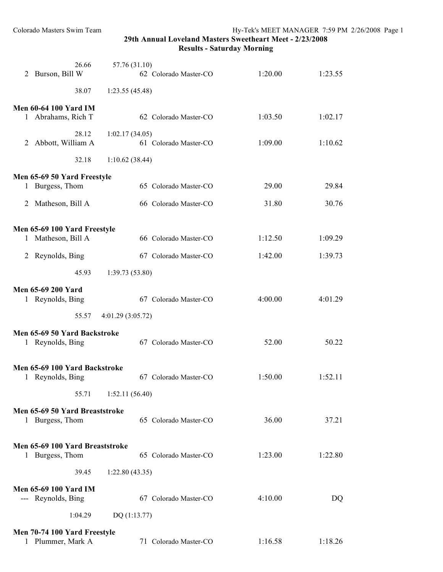**Results - Saturday Morning**

| 2 | 26.66<br>Burson, Bill W                            | 57.76 (31.10)<br>62 Colorado Master-CO  | 1:20.00 | 1:23.55 |
|---|----------------------------------------------------|-----------------------------------------|---------|---------|
|   | 38.07                                              | 1:23.55(45.48)                          |         |         |
|   | <b>Men 60-64 100 Yard IM</b>                       |                                         |         |         |
|   | 1 Abrahams, Rich T                                 | 62 Colorado Master-CO                   | 1:03.50 | 1:02.17 |
| 2 | 28.12<br>Abbott, William A                         | 1:02.17(34.05)<br>61 Colorado Master-CO | 1:09.00 | 1:10.62 |
|   | 32.18                                              | 1:10.62(38.44)                          |         |         |
|   | Men 65-69 50 Yard Freestyle                        |                                         |         |         |
| 1 | Burgess, Thom                                      | 65 Colorado Master-CO                   | 29.00   | 29.84   |
| 2 | Matheson, Bill A                                   | 66 Colorado Master-CO                   | 31.80   | 30.76   |
|   | Men 65-69 100 Yard Freestyle                       |                                         |         |         |
| 1 | Matheson, Bill A                                   | 66 Colorado Master-CO                   | 1:12.50 | 1:09.29 |
| 2 | Reynolds, Bing                                     | 67 Colorado Master-CO                   | 1:42.00 | 1:39.73 |
|   | 45.93                                              | 1:39.73(53.80)                          |         |         |
|   | <b>Men 65-69 200 Yard</b>                          |                                         |         |         |
|   | 1 Reynolds, Bing                                   | 67 Colorado Master-CO                   | 4:00.00 | 4:01.29 |
|   | 55.57                                              | 4:01.29 (3:05.72)                       |         |         |
|   | Men 65-69 50 Yard Backstroke<br>1 Reynolds, Bing   | 67 Colorado Master-CO                   | 52.00   | 50.22   |
|   | Men 65-69 100 Yard Backstroke<br>1 Reynolds, Bing  | 67 Colorado Master-CO                   | 1:50.00 | 1:52.11 |
|   | 55.71                                              | 1:52.11(56.40)                          |         |         |
|   | Men 65-69 50 Yard Breaststroke                     |                                         |         |         |
|   | 1 Burgess, Thom                                    | 65 Colorado Master-CO                   | 36.00   | 37.21   |
|   | Men 65-69 100 Yard Breaststroke                    |                                         |         |         |
|   | 1 Burgess, Thom                                    | 65 Colorado Master-CO                   | 1:23.00 | 1:22.80 |
|   | 39.45                                              | 1:22.80(43.35)                          |         |         |
|   | <b>Men 65-69 100 Yard IM</b><br>--- Reynolds, Bing | 67 Colorado Master-CO                   | 4:10.00 | DQ      |
|   | 1:04.29                                            | DQ(1:13.77)                             |         |         |
|   | Men 70-74 100 Yard Freestyle                       |                                         |         |         |
|   | 1 Plummer, Mark A                                  | 71 Colorado Master-CO                   | 1:16.58 | 1:18.26 |